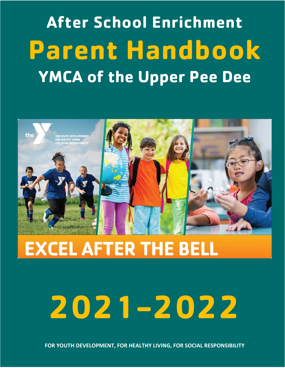**After School Enrichment Parent Handbook YMCA of the Upper Pee Dee**



# **EXCEL AFTER THE BELL**

# **2021-2022**

**FOR YOUTH DEVELOPMENT, FOR HEALTHY LIVING, FOR SOCIAL RESPONSIBILITY**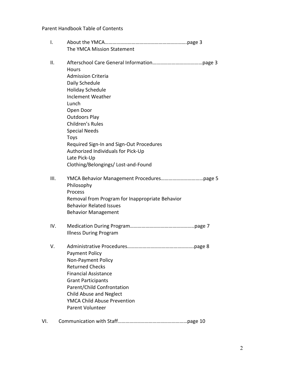# Parent Handbook Table of Contents

|     | I.  |                                                 |
|-----|-----|-------------------------------------------------|
|     |     | The YMCA Mission Statement                      |
|     | ΙΙ. |                                                 |
|     |     | <b>Hours</b>                                    |
|     |     | <b>Admission Criteria</b>                       |
|     |     | Daily Schedule                                  |
|     |     | <b>Holiday Schedule</b>                         |
|     |     | <b>Inclement Weather</b>                        |
|     |     | Lunch                                           |
|     |     | Open Door                                       |
|     |     | <b>Outdoors Play</b>                            |
|     |     | Children's Rules                                |
|     |     | <b>Special Needs</b>                            |
|     |     | <b>Toys</b>                                     |
|     |     | Required Sign-In and Sign-Out Procedures        |
|     |     | Authorized Individuals for Pick-Up              |
|     |     | Late Pick-Up                                    |
|     |     | Clothing/Belongings/ Lost-and-Found             |
|     | Ш.  |                                                 |
|     |     | Philosophy                                      |
|     |     | Process                                         |
|     |     | Removal from Program for Inappropriate Behavior |
|     |     | <b>Behavior Related Issues</b>                  |
|     |     | <b>Behavior Management</b>                      |
|     | IV. |                                                 |
|     |     | <b>Illness During Program</b>                   |
|     | ۷.  |                                                 |
|     |     | <b>Payment Policy</b>                           |
|     |     | Non-Payment Policy                              |
|     |     | <b>Returned Checks</b>                          |
|     |     | <b>Financial Assistance</b>                     |
|     |     | <b>Grant Participants</b>                       |
|     |     | Parent/Child Confrontation                      |
|     |     | <b>Child Abuse and Neglect</b>                  |
|     |     | YMCA Child Abuse Prevention                     |
|     |     | <b>Parent Volunteer</b>                         |
| VI. |     |                                                 |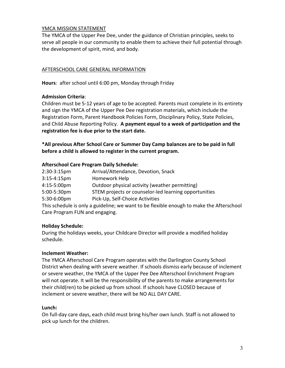#### YMCA MISSION STATEMENT

The YMCA of the Upper Pee Dee, under the guidance of Christian principles, seeks to serve all people in our community to enable them to achieve their full potential through the development of spirit, mind, and body.

#### AFTERSCHOOL CARE GENERAL INFORMATION

**Hours**: after school until 6:00 pm, Monday through Friday

#### **Admission Criteria**:

Children must be 5-12 years of age to be accepted. Parents must complete in its entirety and sign the YMCA of the Upper Pee Dee registration materials, which include the Registration Form, Parent Handbook Policies Form, Disciplinary Policy, State Policies, and Child Abuse Reporting Policy. **A payment equal to a week of participation and the registration fee is due prior to the start date.**

**\*All previous After School Care or Summer Day Camp balances are to be paid in full before a child is allowed to register in the current program.**

#### **Afterschool Care Program Daily Schedule:**

| $2:30-3:15$ pm                                                                           | Arrival/Attendance, Devotion, Snack                   |  |  |
|------------------------------------------------------------------------------------------|-------------------------------------------------------|--|--|
| $3:15 - 4:15$ pm                                                                         | Homework Help                                         |  |  |
| 4:15-5:00pm                                                                              | Outdoor physical activity (weather permitting)        |  |  |
| 5:00-5:30pm                                                                              | STEM projects or counselor-led learning opportunities |  |  |
| 5:30-6:00pm                                                                              | Pick-Up, Self-Choice Activities                       |  |  |
| This schedule is only a guideline; we want to be flexible enough to make the Afterschool |                                                       |  |  |
| Care Program FUN and engaging.                                                           |                                                       |  |  |

#### **Holiday Schedule:**

During the holidays weeks, your Childcare Director will provide a modified holiday schedule.

#### **Inclement Weather:**

The YMCA Afterschool Care Program operates with the Darlington County School District when dealing with severe weather. If schools dismiss early because of inclement or severe weather, the YMCA of the Upper Pee Dee Afterschool Enrichment Program will not operate. It will be the responsibility of the parents to make arrangements for their child(ren) to be picked up from school. If schools have CLOSED because of inclement or severe weather, there will be NO ALL DAY CARE.

#### **Lunch:**

On full-day care days, each child must bring his/her own lunch. Staff is not allowed to pick up lunch for the children.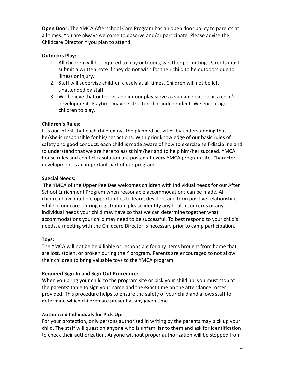**Open Door:** The YMCA Afterschool Care Program has an open door policy to parents at all times. You are always welcome to observe and/or participate. Please advise the Childcare Director if you plan to attend.

#### **Outdoors Play:**

- 1. All children will be required to play outdoors, weather permitting. Parents must submit a written note if they do not wish for their child to be outdoors due to illness or injury.
- 2. Staff will supervise children closely at all times. Children will not be left unattended by staff.
- 3. We believe that outdoors and indoor play serve as valuable outlets in a child's development. Playtime may be structured or independent. We encourage children to play.

#### **Children's Rules:**

It is our intent that each child enjoys the planned activities by understanding that he/she is responsible for his/her actions. With prior knowledge of our basic rules of safety and good conduct, each child is made aware of how to exercise self-discipline and to understand that we are here to assist him/her and to help him/her succeed. YMCA house rules and conflict resolution are posted at every YMCA program site. Character development is an important part of our program.

#### **Special Needs:**

The YMCA of the Upper Pee Dee welcomes children with individual needs for our After School Enrichment Program when reasonable accommodations can be made. All children have multiple opportunities to learn, develop, and form positive relationships while in our care. During registration, please identify any health concerns or any individual needs your child may have so that we can determine together what accommodations your child may need to be successful. To best respond to your child's needs, a meeting with the Childcare Director is necessary prior to camp participation.

#### **Toys:**

The YMCA will not be held liable or responsible for any items brought from home that are lost, stolen, or broken during the Y program. Parents are encouraged to not allow their children to bring valuable toys to the YMCA program.

#### **Required Sign-In and Sign-Out Procedure:**

When you bring your child to the program site or pick your child up, you must stop at the parents' table to sign your name and the exact time on the attendance roster provided. This procedure helps to ensure the safety of your child and allows staff to determine which children are present at any given time.

#### **Authorized Individuals for Pick-Up:**

For your protection, only persons authorized in writing by the parents may pick up your child. The staff will question anyone who is unfamiliar to them and ask for identification to check their authorization. Anyone without proper authorization will be stopped from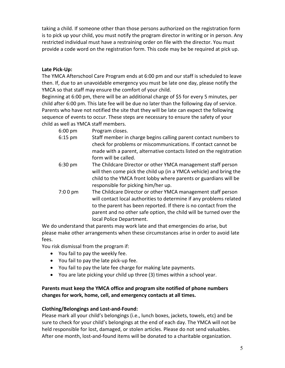taking a child. If someone other than those persons authorized on the registration form is to pick up your child, you must notify the program director in writing or in person. Any restricted individual must have a restraining order on file with the director. You must provide a code word on the registration form. This code may be be required at pick up.

#### **Late Pick-Up:**

The YMCA Afterschool Care Program ends at 6:00 pm and our staff is scheduled to leave then. If, due to an unavoidable emergency you must be late one day, please notify the YMCA so that staff may ensure the comfort of your child.

Beginning at 6:00 pm, there will be an additional charge of \$5 for every 5 minutes, per child after 6:00 pm. This late fee will be due no later than the following day of service. Parents who have not notified the site that they will be late can expect the following sequence of events to occur. These steps are necessary to ensure the safety of your child as well as YMCA staff members.

6:00 pm Program closes.

- 6:15 pm Staff member in charge begins calling parent contact numbers to check for problems or miscommunications. If contact cannot be made with a parent, alternative contacts listed on the registration form will be called.
- 6:30 pm The Childcare Director or other YMCA management staff person will then come pick the child up (in a YMCA vehicle) and bring the child to the YMCA front lobby where parents or guardians will be responsible for picking him/her up.
- 7:0 0 pm The Childcare Director or other YMCA management staff person will contact local authorities to determine if any problems related to the parent has been reported. If there is no contact from the parent and no other safe option, the child will be turned over the local Police Department.

We do understand that parents may work late and that emergencies do arise, but please make other arrangements when these circumstances arise in order to avoid late fees.

You risk dismissal from the program if:

- You fail to pay the weekly fee.
- You fail to pay the late pick-up fee.
- You fail to pay the late fee charge for making late payments.
- You are late picking your child up three (3) times within a school year.

# **Parents must keep the YMCA office and program site notified of phone numbers changes for work, home, cell, and emergency contacts at all times.**

#### **Clothing/Belongings and Lost-and-Found:**

Please mark all your child's belongings (i.e., lunch boxes, jackets, towels, etc) and be sure to check for your child's belongings at the end of each day. The YMCA will not be held responsible for lost, damaged, or stolen articles. Please do not send valuables. After one month, lost-and-found items will be donated to a charitable organization.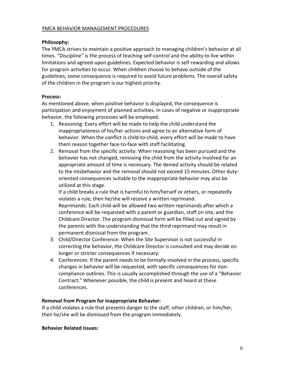#### YMCA BEHAVIOR MANAGEMENT PROCEDURES

#### **Philosophy:**

The YMCA strives to maintain a positive approach to managing children's behavior at all times. "Discipline" is the process of teaching self-control and the ability to live within limitations and agreed-upon guidelines. Expected behavior is self-rewarding and allows for program activities to occur. When children choose to behave outside of the guidelines, some consequence is required to avoid future problems. The overall safety of the children in the program is our highest priority.

#### **Process:**

As mentioned above, when positive behavior is displayed, the consequence is participation and enjoyment of planned activities. In cases of negative or inappropriate behavior, the following processes will be employed.

- 1. Reasoning: Every effort will be made to help the child understand the inappropriateness of his/her actions and agree to an alternative form of behavior. When the conflict is child-to-child, every effort will be made to have them reason together face-to-face with staff facilitating.
- 2. Removal from the specific activity: When reasoning has been pursued and the behavior has not changed, removing the child from the activity involved for an appropriate amount of time is necessary. The denied activity should be related to the misbehavior and the removal should not exceed 15 minutes. Other dutyoriented consequences suitable to the inappropriate behavior may also be utilized at this stage.

If a child breaks a rule that is harmful to him/herself or others, or repeatedly violates a rule, then he/she will receive a written reprimand.

Reprimands: Each child will be allowed two written reprimands after which a conference will be requested with a parent or guardian, staff on site, and the Childcare Director. The program dismissal form will be filled out and signed by the parents with the understanding that the third reprimand may result in permanent dismissal from the program.

- 3. Child/Director Conference: When the Site Supervisor is not successful in correcting the behavior, the Childcare Director is consulted and may decide on longer or stricter consequences if necessary.
- 4. Conferences: If the parent needs to be formally involved in the process, specific changes in behavior will be requested, with specific consequences for noncompliance outlines. This is usually accomplished through the use of a "Behavior Contract." Whenever possible, the child is present and heard at these conferences.

#### **Removal from Program for Inappropriate Behavior:**

If a child violates a rule that presents danger to the staff, other children, or him/her, then he/she will be dismissed from the program immediately.

#### **Behavior Related Issues:**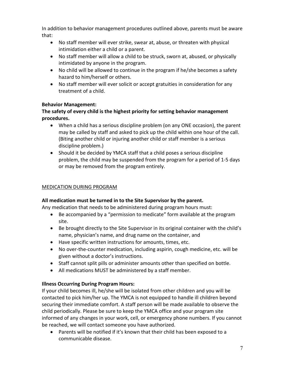In addition to behavior management procedures outlined above, parents must be aware that:

- No staff member will ever strike, swear at, abuse, or threaten with physical intimidation either a child or a parent.
- No staff member will allow a child to be struck, sworn at, abused, or physically intimidated by anyone in the program.
- No child will be allowed to continue in the program if he/she becomes a safety hazard to him/herself or others.
- No staff member will ever solicit or accept gratuities in consideration for any treatment of a child.

# **Behavior Management:**

# **The safety of every child is the highest priority for setting behavior management procedures.**

- When a child has a serious discipline problem (on any ONE occasion), the parent may be called by staff and asked to pick up the child within one hour of the call. (Biting another child or injuring another child or staff member is a serious discipline problem.)
- Should it be decided by YMCA staff that a child poses a serious discipline problem, the child may be suspended from the program for a period of 1-5 days or may be removed from the program entirely.

# MEDICATION DURING PROGRAM

# **All medication must be turned in to the Site Supervisor by the parent.**

Any medication that needs to be administered during program hours must:

- Be accompanied by a "permission to medicate" form available at the program site.
- Be brought directly to the Site Supervisor in its original container with the child's name, physician's name, and drug name on the container, and
- Have specific written instructions for amounts, times, etc.
- No over-the-counter medication, including aspirin, cough medicine, etc. will be given without a doctor's instructions.
- Staff cannot split pills or administer amounts other than specified on bottle.
- All medications MUST be administered by a staff member.

#### **Illness Occurring During Program Hours:**

If your child becomes ill, he/she will be isolated from other children and you will be contacted to pick him/her up. The YMCA is not equipped to handle ill children beyond securing their immediate comfort. A staff person will be made available to observe the child periodically. Please be sure to keep the YMCA office and your program site informed of any changes in your work, cell, or emergency phone numbers. If you cannot be reached, we will contact someone you have authorized.

• Parents will be notified if it's known that their child has been exposed to a communicable disease.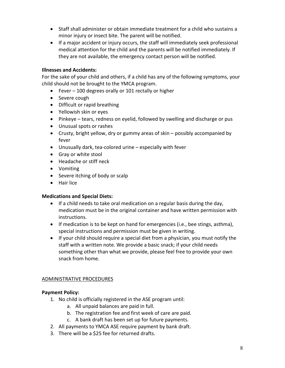- Staff shall administer or obtain immediate treatment for a child who sustains a minor injury or insect bite. The parent will be notified.
- If a major accident or injury occurs, the staff will immediately seek professional medical attention for the child and the parents will be notified immediately. If they are not available, the emergency contact person will be notified.

#### **Illnesses and Accidents:**

For the sake of your child and others, if a child has any of the following symptoms, your child should not be brought to the YMCA program.

- Fever 100 degrees orally or 101 rectally or higher
- Severe cough
- Difficult or rapid breathing
- Yellowish skin or eyes
- Pinkeye tears, redness on eyelid, followed by swelling and discharge or pus
- Unusual spots or rashes
- Crusty, bright yellow, dry or gummy areas of skin possibly accompanied by fever
- Unusually dark, tea-colored urine especially with fever
- Gray or white stool
- Headache or stiff neck
- Vomiting
- Severe itching of body or scalp
- Hair lice

#### **Medications and Special Diets:**

- If a child needs to take oral medication on a regular basis during the day, medication must be in the original container and have written permission with instructions.
- If medication is to be kept on hand for emergencies (i.e., bee stings, asthma), special instructions and permission must be given in writing.
- If your child should require a special diet from a physician, you must notify the staff with a written note. We provide a basic snack; if your child needs something other than what we provide, please feel free to provide your own snack from home.

#### ADMINISTRATIVE PROCEDURES

#### **Payment Policy:**

- 1. No child is officially registered in the ASE program until:
	- a. All unpaid balances are paid in full.
	- b. The registration fee and first week of care are paid.
	- c. A bank draft has been set up for future payments.
- 2. All payments to YMCA ASE require payment by bank draft.
- 3. There will be a \$25 fee for returned drafts.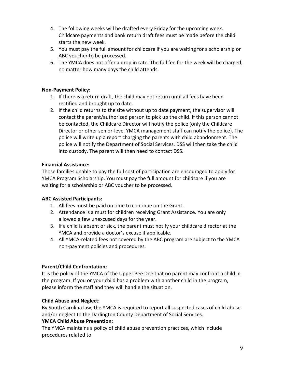- 4. The following weeks will be drafted every Friday for the upcoming week. Childcare payments and bank return draft fees must be made before the child starts the new week.
- 5. You must pay the full amount for childcare if you are waiting for a scholarship or ABC voucher to be processed.
- 6. The YMCA does not offer a drop in rate. The full fee for the week will be charged, no matter how many days the child attends.

#### **Non-Payment Policy:**

- 1. If there is a return draft, the child may not return until all fees have been rectified and brought up to date.
- 2. If the child returns to the site without up to date payment, the supervisor will contact the parent/authorized person to pick up the child. If this person cannot be contacted, the Childcare Director will notify the police (only the Childcare Director or other senior-level YMCA management staff can notify the police). The police will write up a report charging the parents with child abandonment. The police will notify the Department of Social Services. DSS will then take the child into custody. The parent will then need to contact DSS.

# **Financial Assistance:**

Those families unable to pay the full cost of participation are encouraged to apply for YMCA Program Scholarship. You must pay the full amount for childcare if you are waiting for a scholarship or ABC voucher to be processed.

#### **ABC Assisted Participants:**

- 1. All fees must be paid on time to continue on the Grant.
- 2. Attendance is a must for children receiving Grant Assistance. You are only allowed a few unexcused days for the year.
- 3. If a child is absent or sick, the parent must notify your childcare director at the YMCA and provide a doctor's excuse if applicable.
- 4. All YMCA-related fees not covered by the ABC program are subject to the YMCA non-payment policies and procedures.

# **Parent/Child Confrontation:**

It is the policy of the YMCA of the Upper Pee Dee that no parent may confront a child in the program. If you or your child has a problem with another child in the program, please inform the staff and they will handle the situation.

#### **Child Abuse and Neglect:**

By South Carolina law, the YMCA is required to report all suspected cases of child abuse and/or neglect to the Darlington County Department of Social Services.

#### **YMCA Child Abuse Prevention:**

The YMCA maintains a policy of child abuse prevention practices, which include procedures related to: